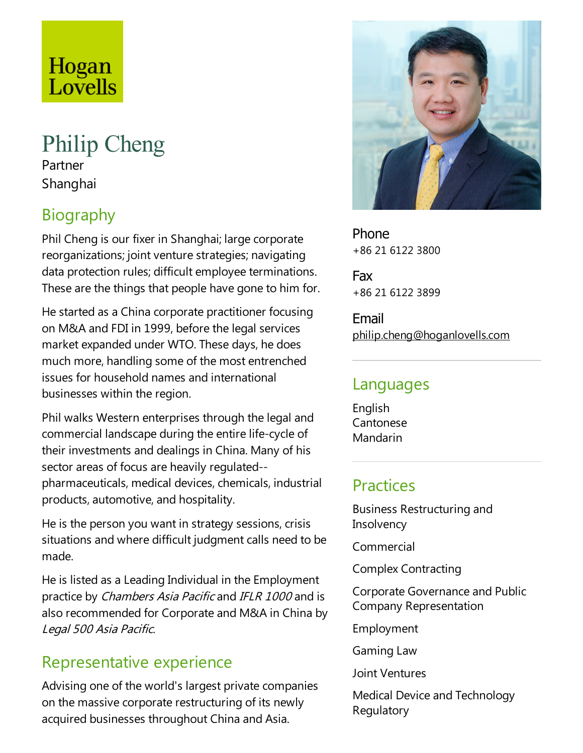# Hogan Lovells

#### Philip Cheng Partner

Shanghai

## Biography

Phil Cheng is our fixer in Shanghai; large corporate reorganizations; joint venture strategies; navigating data protection rules; difficult employee terminations. These are the things that people have gone to him for.

He started as a China corporate practitioner focusing on M&A and FDI in 1999, before the legal services market expanded under WTO. These days, he does much more, handling some of the most entrenched issues for household names and international businesses within the region.

Phil walks Western enterprises through the legal and commercial landscape during the entire life-cycle of their investments and dealings in China. Many of his sector areas of focus are heavily regulated- pharmaceuticals, medical devices,chemicals, industrial products, automotive, and hospitality.

He is the person you want in strategy sessions, crisis situations and where difficult judgment calls need to be made.

He is listed as a Leading Individual in the Employment practice by *Chambers Asia Pacific* and *IFLR 1000* and is also recommended for Corporate and M&A in China by Legal <sup>500</sup> Asia Pacific.

### Representative experience

Advising one of the world's largest private companies on the massive corporate restructuring of its newly acquired businesses throughout China and Asia.



Phone +86 21 6122 3800

Fax +86 21 6122 3899

Email philip.cheng@hoganlovells.com

#### Languages

English Cantonese Mandarin

#### **Practices**

Business Restructuring and **Insolvency** 

Commercial

Complex Contracting

Corporate Governanceand Public Company Representation

Employment

Gaming Law

Joint Ventures

Medical Device and Technology **Regulatory**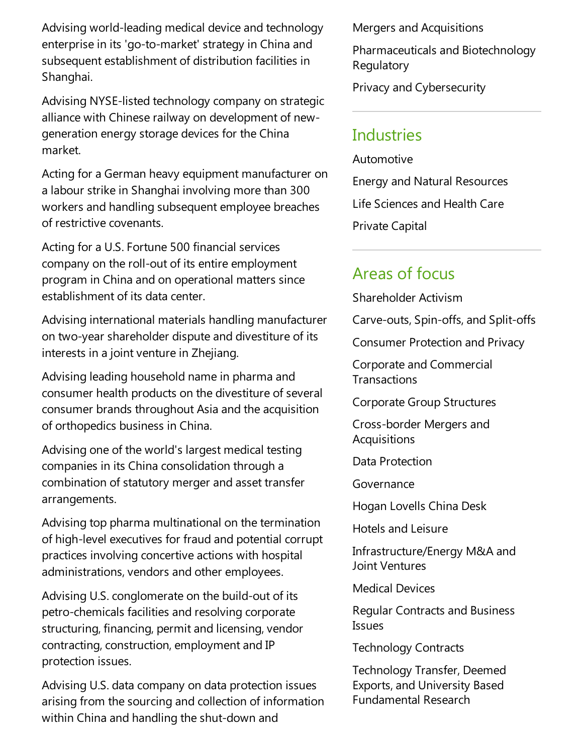Advising world-leading medical device and technology enterprise in its 'go-to-market' strategy in China and subsequent establishment of distribution facilities in Shanghai.

Advising NYSE-listed technology company on strategic alliance with Chinese railway on development of newgeneration energy storage devices for the China market.

Acting for a German heavy equipment manufacturer on a labour strike in Shanghai involving more than 300 workers and handling subsequent employee breaches of restrictive covenants.

Acting for a U.S. Fortune 500 financial services company on the roll-out of its entire employment program in China and on operational matters since establishment of its data center.

Advising international materials handling manufacturer on two-year shareholder dispute and divestiture of its interests in a joint venture in Zhejiang.

Advising leading household name in pharma and consumer health products on the divestiture of several consumer brands throughout Asia and the acquisition of orthopedics business in China.

Advising one of the world's largest medical testing companies in its China consolidation through a combination of statutory merger and asset transfer arrangements.

Advising top pharma multinational on the termination of high-level executives for fraud and potential corrupt practices involving concertive actions with hospital administrations, vendors and other employees.

Advising U.S. conglomerate on the build-out of its petro-chemicals facilities and resolving corporate structuring, financing, permit and licensing, vendor contracting, construction, employment and IP protection issues.

Advising U.S. data company on data protection issues arising from the sourcing and collection of information within China and handling the shut-down and

Mergers and Acquisitions

Pharmaceuticals and Biotechnology **Regulatory** 

Privacy and Cybersecurity

#### **Industries**

Automotive Energy and Natural Resources Life Sciences and Health Care Private Capital

#### Areas of focus

Shareholder Activism

Carve-outs, Spin-offs,and Split-offs

Consumer Protection and Privacy

Corporate and Commercial **Transactions** 

Corporate Group Structures

Cross-border Mergers and **Acquisitions** 

Data Protection

Governance

Hogan Lovells China Desk

Hotels and Leisure

Infrastructure/Energy M&A and Joint Ventures

Medical Devices

Regular Contracts and Business **Issues** 

Technology Contracts

Technology Transfer, Deemed Exports, and University Based Fundamental Research